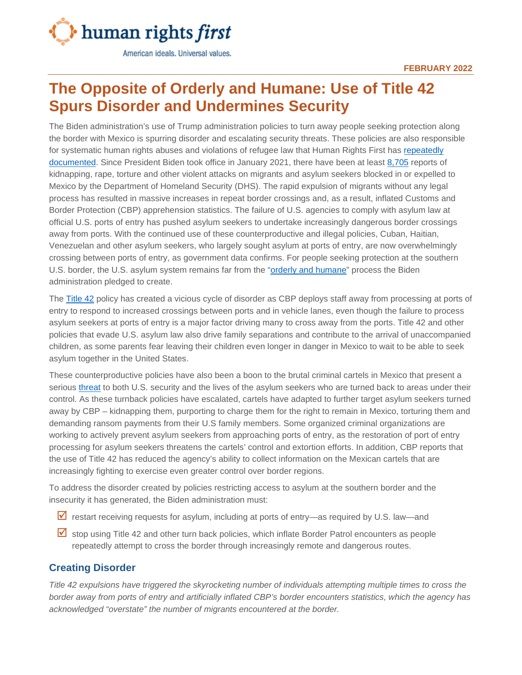

American ideals. Universal values.

## **The Opposite of Orderly and Humane: Use of Title 42 Spurs Disorder and Undermines Security**

The Biden administration's use of Trump administration policies to turn away people seeking protection along the border with Mexico is spurring disorder and escalating security threats. These policies are also responsible for systematic human rights abuses and violations of refugee law that Human Rights First has [repeatedly](http://www.deliveredtodanger.org/) [documented.](https://www.humanrightsfirst.org/resource/shameful-record-biden-administration-s-use-trump-policies-endangers-people-seeking-asylum) Since President Biden took office in January 2021, there have been at least [8,705](https://www.humanrightsfirst.org/sites/default/files/AttacksonAsylumSeekersStrandedinMexicoDuringBidenAdministration.1.13.2022.pdf) reports of kidnapping, rape, torture and other violent attacks on migrants and asylum seekers blocked in or expelled to Mexico by the Department of Homeland Security (DHS). The rapid expulsion of migrants without any legal process has resulted in massive increases in repeat border crossings and, as a result, inflated Customs and Border Protection (CBP) apprehension statistics. The failure of U.S. agencies to comply with asylum law at official U.S. ports of entry has pushed asylum seekers to undertake increasingly dangerous border crossings away from ports. With the continued use of these counterproductive and illegal policies, Cuban, Haitian, Venezuelan and other asylum seekers, who largely sought asylum at ports of entry, are now overwhelmingly crossing between ports of entry, as government data confirms. For people seeking protection at the southern U.S. border, the U.S. asylum system remains far from the ["orderly and humane"](https://www.whitehouse.gov/briefing-room/statements-releases/2021/07/27/fact-sheet-the-biden-administration-blueprint-for-a-fair-orderly-and-humane-immigration-system/) process the Biden administration pledged to create.

The [Title 42](https://www.humanrightsfirst.org/resource/shameful-record-biden-administration-s-use-trump-policies-endangers-people-seeking-asylum) policy has created a vicious cycle of disorder as CBP deploys staff away from processing at ports of entry to respond to increased crossings between ports and in vehicle lanes, even though the failure to process asylum seekers at ports of entry is a major factor driving many to cross away from the ports. Title 42 and other policies that evade U.S. asylum law also drive family separations and contribute to the arrival of unaccompanied children, as some parents fear leaving their children even longer in danger in Mexico to wait to be able to seek asylum together in the United States.

These counterproductive policies have also been a boon to the brutal criminal cartels in Mexico that present a serious [threat](https://www.dhs.gov/sites/default/files/publications/2020_10_06_homeland-threat-assessment.pdf) to both U.S. security and the lives of the asylum seekers who are turned back to areas under their control. As these turnback policies have escalated, cartels have adapted to further target asylum seekers turned away by CBP – kidnapping them, purporting to charge them for the right to remain in Mexico, torturing them and demanding ransom payments from their U.S family members. Some organized criminal organizations are working to actively prevent asylum seekers from approaching ports of entry, as the restoration of port of entry processing for asylum seekers threatens the cartels' control and extortion efforts. In addition, CBP reports that the use of Title 42 has reduced the agency's ability to collect information on the Mexican cartels that are increasingly fighting to exercise even greater control over border regions.

To address the disorder created by policies restricting access to asylum at the southern border and the insecurity it has generated, the Biden administration must:

- $\overline{Y}$  restart receiving requests for asylum, including at ports of entry—as required by U.S. law—and
- $\triangledown$  stop using Title 42 and other turn back policies, which inflate Border Patrol encounters as people repeatedly attempt to cross the border through increasingly remote and dangerous routes.

## **Creating Disorder**

*Title 42 expulsions have triggered the skyrocketing number of individuals attempting multiple times to cross the border away from ports of entry and artificially inflated CBP's border encounters statistics, which the agency has acknowledged "overstate" the number of migrants encountered at the border.*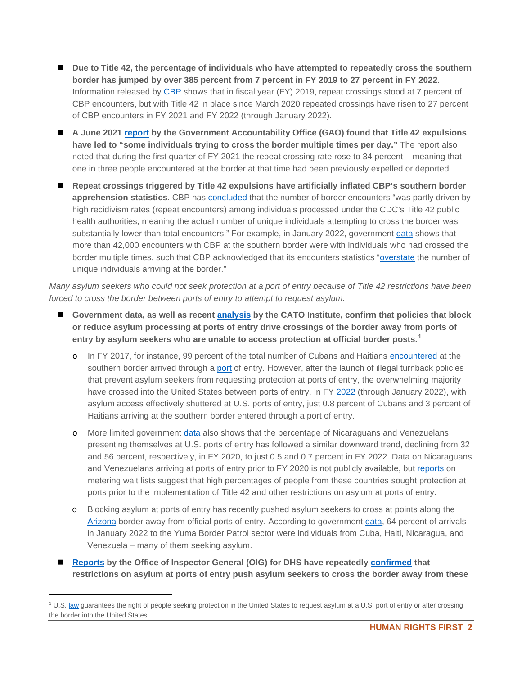- Due to Title 42, the percentage of individuals who have attempted to repeatedly cross the southern **border has jumped by over 385 percent from 7 percent in FY 2019 to 27 percent in FY 2022**. Information released by [CBP](https://www.cbp.gov/newsroom/stats/cbp-enforcement-statistics) shows that in fiscal year (FY) 2019, repeat crossings stood at 7 percent of CBP encounters, but with Title 42 in place since March 2020 repeated crossings have risen to 27 percent of CBP encounters in FY 2021 and FY 2022 (through January 2022).
- **A June 2021 [report](https://www.gao.gov/assets/gao-21-431.pdf) by the Government Accountability Office (GAO) found that Title 42 expulsions have led to "some individuals trying to cross the border multiple times per day."** The report also noted that during the first quarter of FY 2021 the repeat crossing rate rose to 34 percent – meaning that one in three people encountered at the border at that time had been previously expelled or deported.
- Repeat crossings triggered by Title 42 expulsions have artificially inflated CBP's southern border **apprehension statistics.** CBP has [concluded](https://www.cbp.gov/newsroom/national-media-release/cbp-releases-operational-fiscal-year-2021-statistics) that the number of border encounters "was partly driven by high recidivism rates (repeat encounters) among individuals processed under the CDC's Title 42 public health authorities, meaning the actual number of unique individuals attempting to cross the border was substantially lower than total encounters." For example, in January 2022, government [data](https://www.cbp.gov/newsroom/national-media-release/cbp-releases-january-2022-monthly-operational-update) shows that more than 42,000 encounters with CBP at the southern border were with individuals who had crossed the border multiple times, such that CBP acknowledged that its encounters statistics ["overstate](https://www.cbp.gov/newsroom/national-media-release/cbp-releases-january-2022-monthly-operational-update) the number of unique individuals arriving at the border."

*Many asylum seekers who could not seek protection at a port of entry because of Title 42 restrictions have been forced to cross the border between ports of entry to attempt to request asylum.*

- **Government data, as well as recent [analysis](https://www.cato.org/blog/how-us-created-cuban-haitian-illegal-migration) by the CATO Institute, confirm that policies that block or reduce asylum processing at ports of entry drive crossings of the border away from ports of entry by asylum seekers who are unable to access protection at official border posts.[1](#page-1-0)**
	- o In FY 2017, for instance, 99 percent of the total number of Cubans and Haitians [encountered](https://www.cbp.gov/sites/default/files/assets/documents/2021-Aug/USBORD%7E3.PDF) at the southern border arrived through a [port](https://www.cbp.gov/newsroom/stats/sw-border-migration-fy2017) of entry. However, after the launch of illegal turnback policies that prevent asylum seekers from requesting protection at ports of entry, the overwhelming majority have crossed into the United States between ports of entry. In FY [2022](https://www.cbp.gov/newsroom/stats/nationwide-encounters) (through January 2022), with asylum access effectively shuttered at U.S. ports of entry, just 0.8 percent of Cubans and 3 percent of Haitians arriving at the southern border entered through a port of entry.
	- o More limited government [data](https://www.cbp.gov/newsroom/stats/nationwide-encounters) also shows that the percentage of Nicaraguans and Venezuelans presenting themselves at U.S. ports of entry has followed a similar downward trend, declining from 32 and 56 percent, respectively, in FY 2020, to just 0.5 and 0.7 percent in FY 2022. Data on Nicaraguans and Venezuelans arriving at ports of entry prior to FY 2020 is not publicly available, but [reports](https://www.strausscenter.org/campi) on metering wait lists suggest that high percentages of people from these countries sought protection at ports prior to the implementation of Title 42 and other restrictions on asylum at ports of entry.
	- o Blocking asylum at ports of entry has recently pushed asylum seekers to cross at points along the [Arizona](https://www.humanrightsfirst.org/resource/restarting-orderly-process-critical-managing-arrival-asylum-seekers-arizona-border) border away from official ports of entry. According to government [data,](https://www.cbp.gov/newsroom/stats/nationwide-encounters) 64 percent of arrivals in January 2022 to the Yuma Border Patrol sector were individuals from Cuba, Haiti, Nicaragua, and Venezuela – many of them seeking asylum.
- **[Reports](https://www.oig.dhs.gov/sites/default/files/assets/2018-10/OIG-18-84-Sep18.pdf) by the Office of Inspector General (OIG) for DHS have repeatedly [confirmed](https://www.oig.dhs.gov/sites/default/files/assets/2020-10/OIG-21-02-Oct20.pdf) that restrictions on asylum at ports of entry push asylum seekers to cross the border away from these**

<span id="page-1-0"></span><sup>&</sup>lt;sup>1</sup> U.S. [law](https://www.law.cornell.edu/uscode/text/8/1158) guarantees the right of people seeking protection in the United States to request asylum at a U.S. port of entry or after crossing the border into the United States.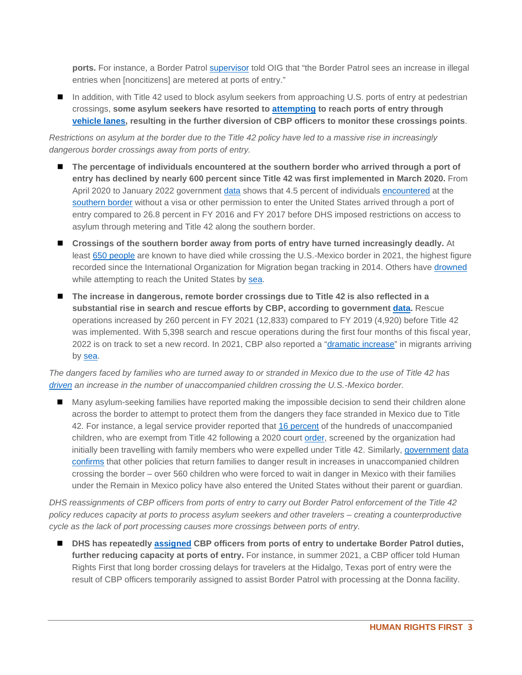**ports.** For instance, a Border Patrol [supervisor](https://www.oig.dhs.gov/sites/default/files/assets/2018-10/OIG-18-84-Sep18.pdf) told OIG that "the Border Patrol sees an increase in illegal entries when [noncitizens] are metered at ports of entry."

■ In addition, with Title 42 used to block asylum seekers from approaching U.S. ports of entry at pedestrian crossings, **some asylum seekers have resorted to [attempting](https://www.borderreport.com/hot-topics/border-crime/18-russian-migrants-found-in-vehicles-shot-at-while-barreling-through-california-border-crossing-cbp-says/) to reach ports of entry through [vehicle lanes,](https://www.latimes.com/california/story/2022-02-07/cbp-officers-border-asylum-seekers-drive-to-us) resulting in the further diversion of CBP officers to monitor these crossings points**.

*Restrictions on asylum at the border due to the Title 42 policy have led to a massive rise in increasingly dangerous border crossings away from ports of entry.*

- The percentage of individuals encountered at the southern border who arrived through a port of **entry has declined by nearly 600 percent since Title 42 was first implemented in March 2020.** From April 2020 to January 2022 government [data](https://www.cbp.gov/newsroom/stats/nationwide-encounters) shows that 4.5 percent of individuals [encountered](https://www.cbp.gov/sites/default/files/assets/documents/2020-Jan/U.S.%20Border%20Patrol%20Monthly%20Apprehensions%20%28FY%202000%20-%20FY%202019%29_1.pdf) at the [southern border](https://www.cbp.gov/newsroom/stats/sw-border-migration-fy2017) without a visa or other permission to enter the United States arrived through a port of entry compared to 26.8 percent in FY 2016 and FY 2017 before DHS imposed restrictions on access to asylum through metering and Title 42 along the southern border.
- **Crossings of the southern border away from ports of entry have turned increasingly deadly.** At least [650 people](https://news.azpm.org/p/news-topical-border/2022/1/4/205215-a-record-number-of-migrants-died-along-the-us-mexico-border-in-2021/) are known to have died while crossing the U.S.-Mexico border in 2021, the highest figure recorded since the International Organization for Migration began tracking in 2014. Others have [drowned](https://www.reuters.com/world/us/inside-doomed-migrant-boat-journey-mexico-california-2021-08-20/) while attempting to reach the United States by [sea.](https://www.nytimes.com/2021/10/31/us/migrants-swim-border.html)
- The increase in dangerous, remote border crossings due to Title 42 is also reflected in a **substantial rise in search and rescue efforts by CBP, according to government [data.](https://www.cbp.gov/newsroom/stats/cbp-enforcement-statistics)** Rescue operations increased by 260 percent in FY 2021 (12,833) compared to FY 2019 (4,920) before Title 42 was implemented. With 5,398 search and rescue operations during the first four months of this fiscal year, 2022 is on track to set a new record. In 2021, CBP also reported a ["dramatic increase"](https://www.cbp.gov/newsroom/local-media-release/san-diego-officials-ramp-operations-warn-against-illegal-entry-sea) in migrants arriving by [sea.](https://www.latimes.com/california/story/2021-10-19/maritime-migration-san-diego-cbp)

*The dangers faced by families who are turned away to or stranded in Mexico due to the use of Title 42 has [driven](https://www.cbsnews.com/news/migrant-children-left-families-asylum-border/) an increase in the number of unaccompanied children crossing the U.S.-Mexico border.*

■ Many asylum-seeking families have reported making the impossible decision to send their children alone across the border to attempt to protect them from the dangers they face stranded in Mexico due to Title 42. For instance, a legal service provider reported that [16 percent](https://www.reuters.com/www.reuters.com/article/us-usa-immigration-separations/where-is-my-aunt-kids-separated-from-relatives-at-the-border-strain-u-s-shelters-idUSKBN2BM149) of the hundreds of unaccompanied children, who are exempt from Title 42 following a 2020 court [order,](https://ecf.dcd.uscourts.gov/cgi-bin/show_public_doc?2020cv2245-80) screened by the organization had initially been travelling with family members who were expelled under Title 42. Similarly, [government](https://www.cbp.gov/newsroom/stats/migrant-protection-protocols-fy-2020) [data](https://www.cbp.gov/newsroom/stats/migrant-protection-protocols-fy2021) [confirms](https://www.cbp.gov/newsroom/stats/migrant-protection-protocols) that other policies that return families to danger result in increases in unaccompanied children crossing the border – over 560 children who were forced to wait in danger in Mexico with their families under the Remain in Mexico policy have also entered the United States without their parent or guardian.

*DHS reassignments of CBP officers from ports of entry to carry out Border Patrol enforcement of the Title 42 policy reduces capacity at ports to process asylum seekers and other travelers – creating a counterproductive cycle as the lack of port processing causes more crossings between ports of entry.*

■ DHS has repeatedly **[assigned](https://www.cbp.gov/newsroom/local-media-release/cbp-officers-among-those-helping-bp-agents-migrant-influx) CBP** officers from ports of entry to undertake Border Patrol duties, **further reducing capacity at ports of entry.** For instance, in summer 2021, a CBP officer told Human Rights First that long border crossing delays for travelers at the Hidalgo, Texas port of entry were the result of CBP officers temporarily assigned to assist Border Patrol with processing at the Donna facility.